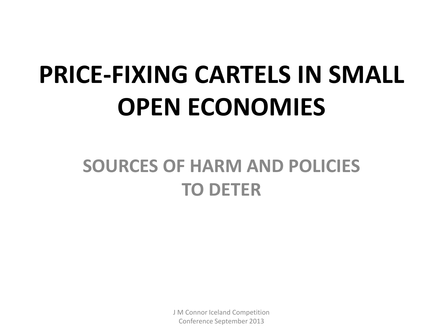# **PRICE-FIXING CARTELS IN SMALL OPEN ECONOMIES**

#### **SOURCES OF HARM AND POLICIES TO DETER**

J M Connor Iceland Competition Conference September 2013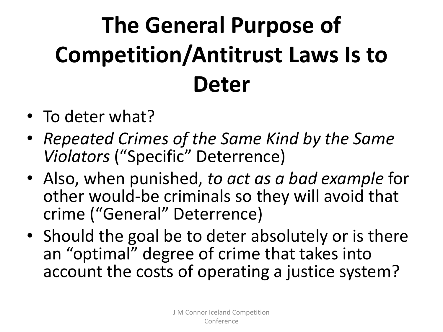# **The General Purpose of Competition/Antitrust Laws Is to Deter**

- To deter what?
- *Repeated Crimes of the Same Kind by the Same Violators* ("Specific" Deterrence)
- Also, when punished, *to act as a bad example* for other would-be criminals so they will avoid that crime ("General" Deterrence)
- Should the goal be to deter absolutely or is there an "optimal" degree of crime that takes into account the costs of operating a justice system?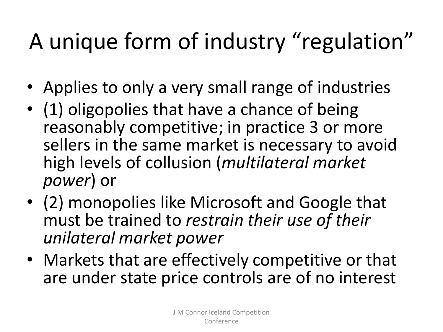#### A unique form of industry "regulation"

- Applies to only a very small range of industries
- (1) oligopolies that have a chance of being reasonably competitive; in practice 3 or more sellers in the same market is necessary to avoid high levels of collusion (*multilateral market power*) or
- (2) monopolies like Microsoft and Google that must be trained to *restrain their use of their unilateral market power*
- Markets that are effectively competitive or that are under state price controls are of no interest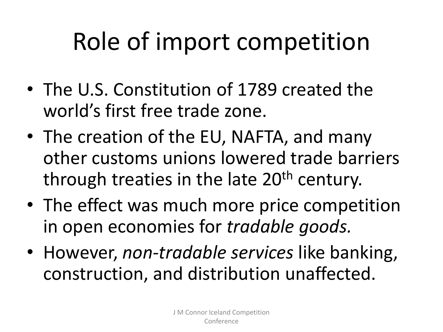# Role of import competition

- The U.S. Constitution of 1789 created the world's first free trade zone.
- The creation of the EU, NAFTA, and many other customs unions lowered trade barriers through treaties in the late 20<sup>th</sup> century.
- The effect was much more price competition in open economies for *tradable goods.*
- However, *non-tradable services* like banking, construction, and distribution unaffected.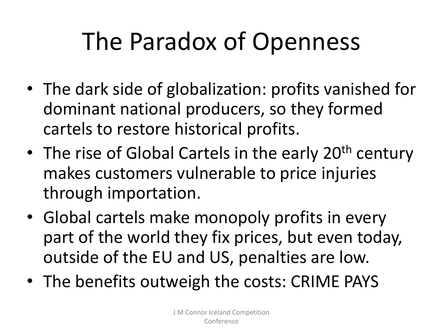## The Paradox of Openness

- The dark side of globalization: profits vanished for dominant national producers, so they formed cartels to restore historical profits.
- The rise of Global Cartels in the early 20<sup>th</sup> century makes customers vulnerable to price injuries through importation.
- Global cartels make monopoly profits in every part of the world they fix prices, but even today, outside of the EU and US, penalties are low.
- The benefits outweigh the costs: CRIME PAYS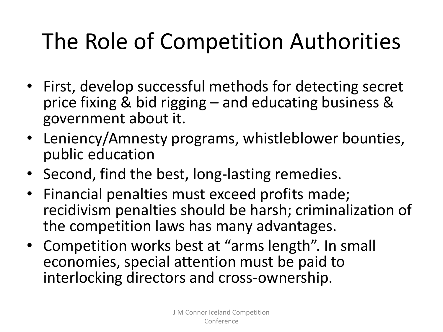#### The Role of Competition Authorities

- First, develop successful methods for detecting secret price fixing & bid rigging – and educating business & government about it.
- Leniency/Amnesty programs, whistleblower bounties, public education
- Second, find the best, long-lasting remedies.
- Financial penalties must exceed profits made; recidivism penalties should be harsh; criminalization of the competition laws has many advantages.
- Competition works best at "arms length". In small economies, special attention must be paid to interlocking directors and cross-ownership.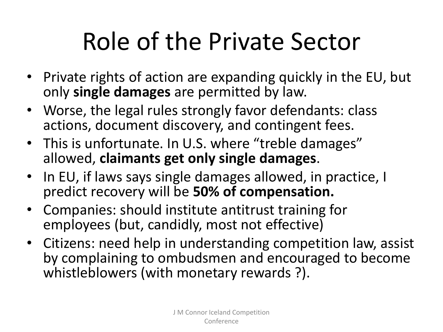# Role of the Private Sector

- Private rights of action are expanding quickly in the EU, but only **single damages** are permitted by law.
- Worse, the legal rules strongly favor defendants: class actions, document discovery, and contingent fees.
- This is unfortunate. In U.S. where "treble damages" allowed, **claimants get only single damages**.
- In EU, if laws says single damages allowed, in practice, I predict recovery will be **50% of compensation.**
- Companies: should institute antitrust training for employees (but, candidly, most not effective)
- Citizens: need help in understanding competition law, assist by complaining to ombudsmen and encouraged to become whistleblowers (with monetary rewards ?).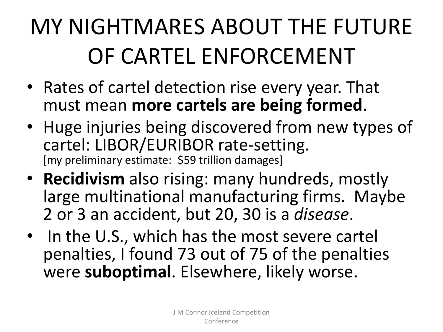#### MY NIGHTMARES ABOUT THE FUTURE OF CARTEL ENFORCEMENT

- Rates of cartel detection rise every year. That must mean **more cartels are being formed**.
- Huge injuries being discovered from new types of cartel: LIBOR/EURIBOR rate-setting. [my preliminary estimate: \$59 trillion damages]
- **Recidivism** also rising: many hundreds, mostly large multinational manufacturing firms. Maybe 2 or 3 an accident, but 20, 30 is a *disease*.
- In the U.S., which has the most severe cartel penalties, I found 73 out of 75 of the penalties were **suboptimal**. Elsewhere, likely worse.